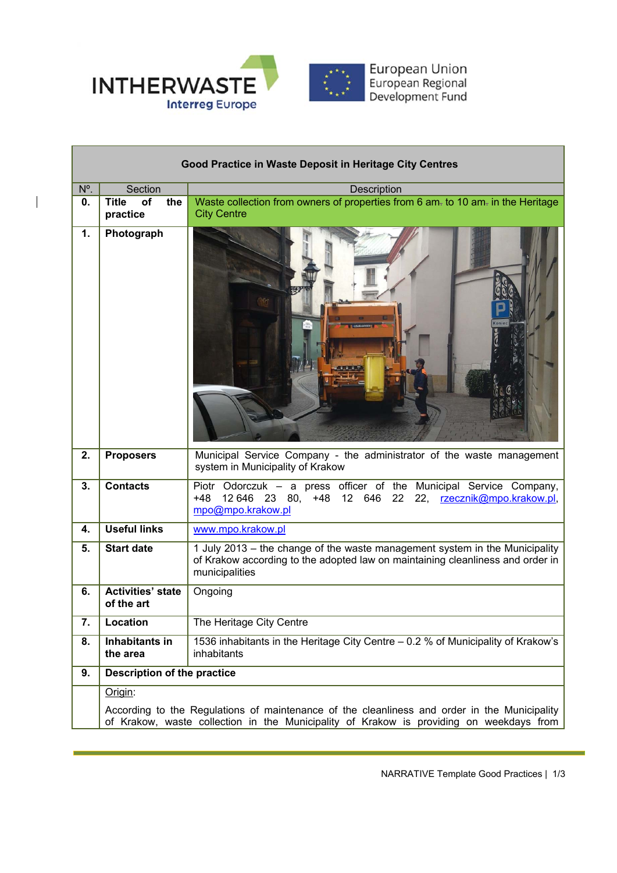

 $\overline{\phantom{a}}$ 

| Good Practice in Waste Deposit in Heritage City Centres |                                                                                                                                                                                         |                                                                                                                                                                                 |  |
|---------------------------------------------------------|-----------------------------------------------------------------------------------------------------------------------------------------------------------------------------------------|---------------------------------------------------------------------------------------------------------------------------------------------------------------------------------|--|
| N°.                                                     | Section                                                                                                                                                                                 | <b>Description</b>                                                                                                                                                              |  |
| 0.                                                      | <b>Title</b><br>of<br>the<br>practice                                                                                                                                                   | Waste collection from owners of properties from 6 am- to 10 am- in the Heritage<br><b>City Centre</b>                                                                           |  |
| 1.                                                      | Photograph                                                                                                                                                                              | $\mathbb{R}$ in                                                                                                                                                                 |  |
| 2.                                                      | <b>Proposers</b>                                                                                                                                                                        | Municipal Service Company - the administrator of the waste management<br>system in Municipality of Krakow                                                                       |  |
| 3.                                                      | <b>Contacts</b>                                                                                                                                                                         | Piotr Odorczuk - a press officer of the Municipal Service Company,<br>12 646 23 80, +48 12 646<br>22<br>22, rzecznik@mpo.krakow.pl,<br>+48<br>mpo@mpo.krakow.pl                 |  |
| 4.                                                      | Useful links                                                                                                                                                                            | www.mpo.krakow.pl                                                                                                                                                               |  |
| 5.                                                      | <b>Start date</b>                                                                                                                                                                       | 1 July 2013 - the change of the waste management system in the Municipality<br>of Krakow according to the adopted law on maintaining cleanliness and order in<br>municipalities |  |
| 6.                                                      | <b>Activities' state</b><br>of the art                                                                                                                                                  | Ongoing                                                                                                                                                                         |  |
| 7.                                                      | Location                                                                                                                                                                                | The Heritage City Centre                                                                                                                                                        |  |
| 8.                                                      | Inhabitants in<br>the area                                                                                                                                                              | 1536 inhabitants in the Heritage City Centre - 0.2 % of Municipality of Krakow's<br>inhabitants                                                                                 |  |
| 9.                                                      | <b>Description of the practice</b>                                                                                                                                                      |                                                                                                                                                                                 |  |
|                                                         | Origin:                                                                                                                                                                                 |                                                                                                                                                                                 |  |
|                                                         | According to the Regulations of maintenance of the cleanliness and order in the Municipality<br>of Krakow, waste collection in the Municipality of Krakow is providing on weekdays from |                                                                                                                                                                                 |  |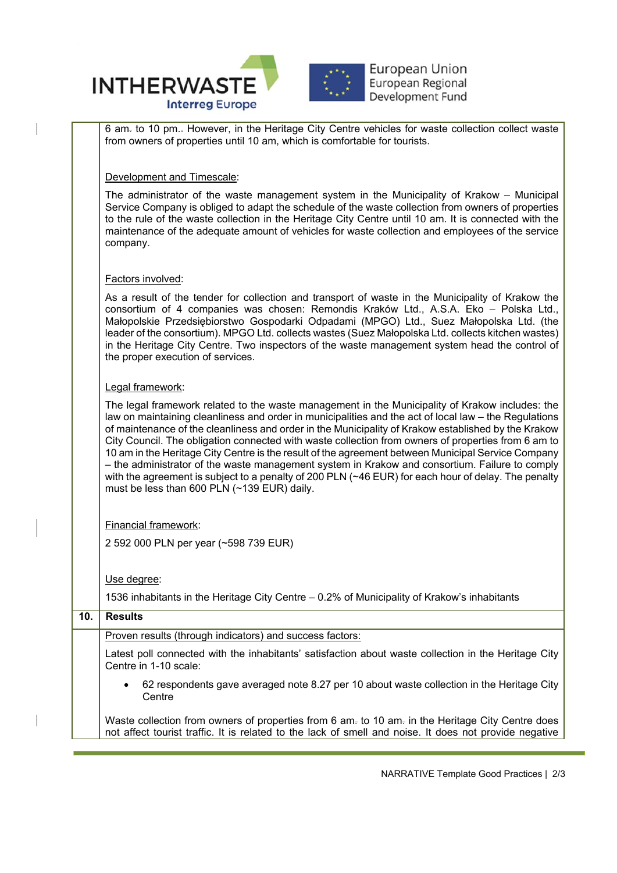

6 am. to 10 pm.. However, in the Heritage City Centre vehicles for waste collection collect waste from owners of properties until 10 am, which is comfortable for tourists.

Development and Timescale:

The administrator of the waste management system in the Municipality of Krakow – Municipal Service Company is obliged to adapt the schedule of the waste collection from owners of properties to the rule of the waste collection in the Heritage City Centre until 10 am. It is connected with the maintenance of the adequate amount of vehicles for waste collection and employees of the service company.

## Factors involved:

As a result of the tender for collection and transport of waste in the Municipality of Krakow the consortium of 4 companies was chosen: Remondis Kraków Ltd., A.S.A. Eko – Polska Ltd., Małopolskie Przedsiębiorstwo Gospodarki Odpadami (MPGO) Ltd., Suez Małopolska Ltd. (the leader of the consortium). MPGO Ltd. collects wastes (Suez Małopolska Ltd. collects kitchen wastes) in the Heritage City Centre. Two inspectors of the waste management system head the control of the proper execution of services.

## Legal framework:

The legal framework related to the waste management in the Municipality of Krakow includes: the law on maintaining cleanliness and order in municipalities and the act of local law – the Regulations of maintenance of the cleanliness and order in the Municipality of Krakow established by the Krakow City Council. The obligation connected with waste collection from owners of properties from 6 am to 10 am in the Heritage City Centre is the result of the agreement between Municipal Service Company – the administrator of the waste management system in Krakow and consortium. Failure to comply with the agreement is subject to a penalty of 200 PLN (~46 EUR) for each hour of delay. The penalty must be less than 600 PLN (~139 EUR) daily.

Financial framework:

2 592 000 PLN per year (~598 739 EUR)

Use degree:

1536 inhabitants in the Heritage City Centre – 0.2% of Municipality of Krakow's inhabitants

| 10. | <b>Results</b>                                                                                                                                                                                             |  |  |
|-----|------------------------------------------------------------------------------------------------------------------------------------------------------------------------------------------------------------|--|--|
|     | Proven results (through indicators) and success factors:                                                                                                                                                   |  |  |
|     | Latest poll connected with the inhabitants' satisfaction about waste collection in the Heritage City<br>Centre in 1-10 scale:                                                                              |  |  |
|     | 62 respondents gave averaged note 8.27 per 10 about waste collection in the Heritage City<br>$\bullet$<br>Centre                                                                                           |  |  |
|     | Waste collection from owners of properties from 6 am- to 10 am- in the Heritage City Centre does<br>not affect tourist traffic. It is related to the lack of smell and noise. It does not provide negative |  |  |